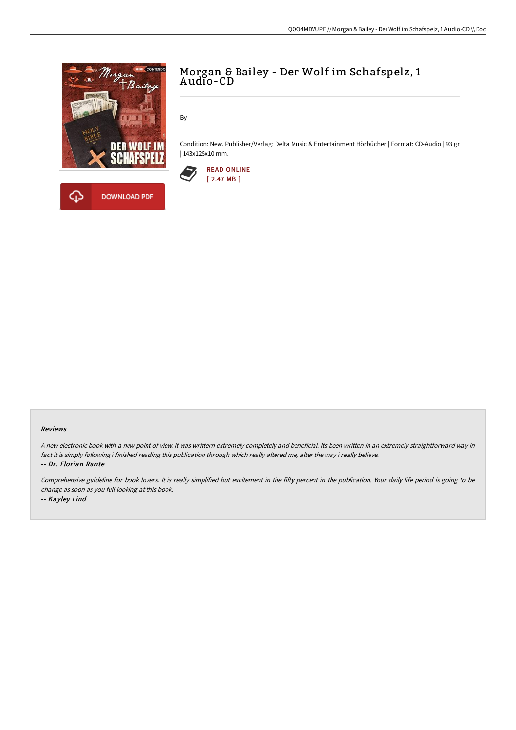

# Morgan & Bailey - Der Wolf im Schafspelz, 1 A udio-CD

By -

Condition: New. Publisher/Verlag: Delta Music & Entertainment Hörbücher | Format: CD-Audio | 93 gr | 143x125x10 mm.



#### Reviews

<sup>A</sup> new electronic book with <sup>a</sup> new point of view. it was writtern extremely completely and beneficial. Its been written in an extremely straightforward way in fact it is simply following i finished reading this publication through which really altered me, alter the way i really believe. -- Dr. Florian Runte

Comprehensive guideline for book lovers. It is really simplified but excitement in the fifty percent in the publication. Your daily life period is going to be change as soon as you full looking at this book. -- Kayley Lind